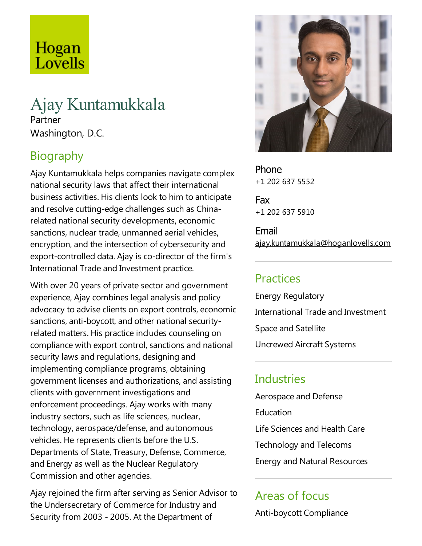# Hogan Lovells

## Ajay Kuntamukkala Partner Washington, D.C.

## Biography

Ajay Kuntamukkala helps companies navigate complex national security laws that affect their international business activities. His clients look to him to anticipate and resolve cutting-edge challenges such as Chinarelated national security developments, economic sanctions, nuclear trade, unmanned aerial vehicles, encryption, and the intersection of cybersecurity and export-controlled data. Ajay is co-director of the firm's International Trade and Investment practice.

With over 20 years of private sector and government experience, Ajay combines legal analysis and policy advocacy to advise clients on export controls, economic sanctions, anti-boycott, and other national securityrelated matters. His practice includes counseling on compliance with export control, sanctions and national security laws and regulations, designing and implementing compliance programs, obtaining government licenses and authorizations,and assisting clients with government investigations and enforcement proceedings. Ajay works with many industry sectors, such as life sciences, nuclear, technology, aerospace/defense, and autonomous vehicles. He represents clients before the U.S. Departments of State, Treasury, Defense, Commerce, and Energy as well as the Nuclear Regulatory Commission and other agencies.

Ajay rejoined the firm after serving as Senior Advisor to the Undersecretary of Commerce for Industry and Security from 2003 - 2005. At the Department of



Phone +1 202 637 5552

Fax +1 202 637 5910

Email ajay.kuntamukkala@hoganlovells.com

## **Practices**

Energy Regulatory International Trade and Investment Space and Satellite Uncrewed Aircraft Systems

#### **Industries**

Aerospace and Defense **Education** Life Sciences and Health Care Technology and Telecoms Energy and Natural Resources

## Areas of focus

Anti-boycott Compliance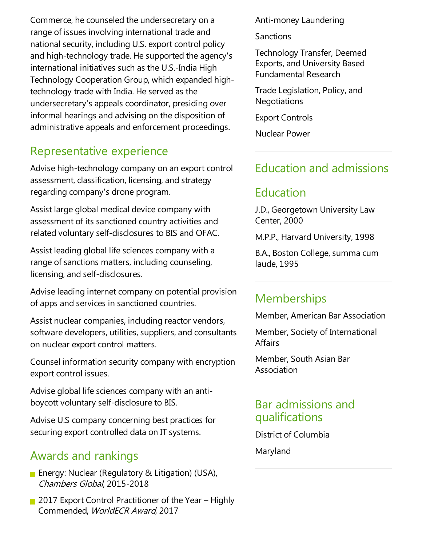Commerce, he counseled the undersecretary on a range of issues involving international trade and national security, including U.S. export control policy and high-technology trade. He supported the agency's international initiatives such as the U.S.-India High Technology Cooperation Group, which expanded hightechnology trade with India. He served as the undersecretary's appeals coordinator, presiding over informal hearings and advising on the disposition of administrative appeals and enforcement proceedings.

#### Representative experience

Advise high-technology company on an export control assessment, classification, licensing, and strategy regarding company's drone program.

Assist large global medical device company with assessment of its sanctioned country activities and related voluntary self-disclosures to BIS and OFAC.

Assist leading global life sciences company with a range of sanctions matters, including counseling, licensing, and self-disclosures.

Advise leading internet company on potential provision ofapps and services in sanctioned countries.

Assist nuclear companies, including reactor vendors, software developers, utilities, suppliers, and consultants on nuclear export control matters.

Counsel information security company with encryption export control issues.

Advise global life sciences company with an antiboycott voluntary self-disclosure to BIS.

Advise U.S company concerning best practices for securing export controlled data on IT systems.

## Awards and rankings

- **E** Energy: Nuclear (Regulatory & Litigation) (USA), Chambers Global, 2015-2018
- 2017 Export Control Practitioner of the Year Highly Commended, WorldECR Award, 2017

Anti-money Laundering

**Sanctions** 

Technology Transfer, Deemed Exports, and University Based Fundamental Research

Trade Legislation, Policy, and **Negotiations** 

Export Controls

Nuclear Power

#### Education and admissions

## Education

J.D., Georgetown University Law Center, 2000

M.P.P., Harvard University, 1998

B.A., Boston College, summa cum laude, 1995

#### **Memberships**

Member, American Bar Association

Member, Society of International Affairs

Member, South Asian Bar Association

#### Bar admissions and qualifications

District of Columbia

Maryland